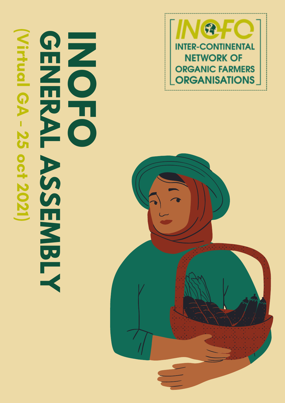





## **RASSEMBLY**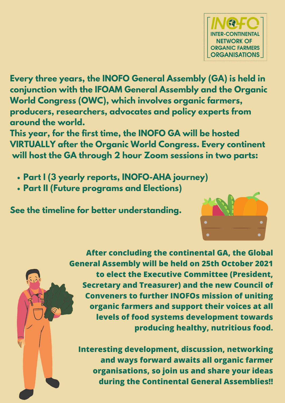- **Part I (3 yearly reports, INOFO-AHA journey)**
- **Part II (Future programs and Elections)**



**Every three years, the INOFO General Assembly (GA) is held in conjunction with the IFOAM General Assembly and the Organic World Congress (OWC), which involves organic farmers, producers, researchers, advocates and policy experts from around the world.**

**This year, for the first time, the INOFO GA will be hosted VIRTUALLY after the Organic World Congress. Every continent will host the GA through 2 hour Zoom sessions in two parts:**

**See the timeline for better understanding.**



**After concluding the continental GA, the Global General Assembly will be held on 25th October 2021 to elect the Executive Committee (President, Secretary and Treasurer) and the new Council of Conveners to further INOFOs mission of uniting organic farmers and support their voices at all levels of food systems development towards producing healthy, nutritious food.**

**Interesting development, discussion, networking and ways forward awaits all organic farmer organisations, so join us and share your ideas during the Continental General Assemblies!!**